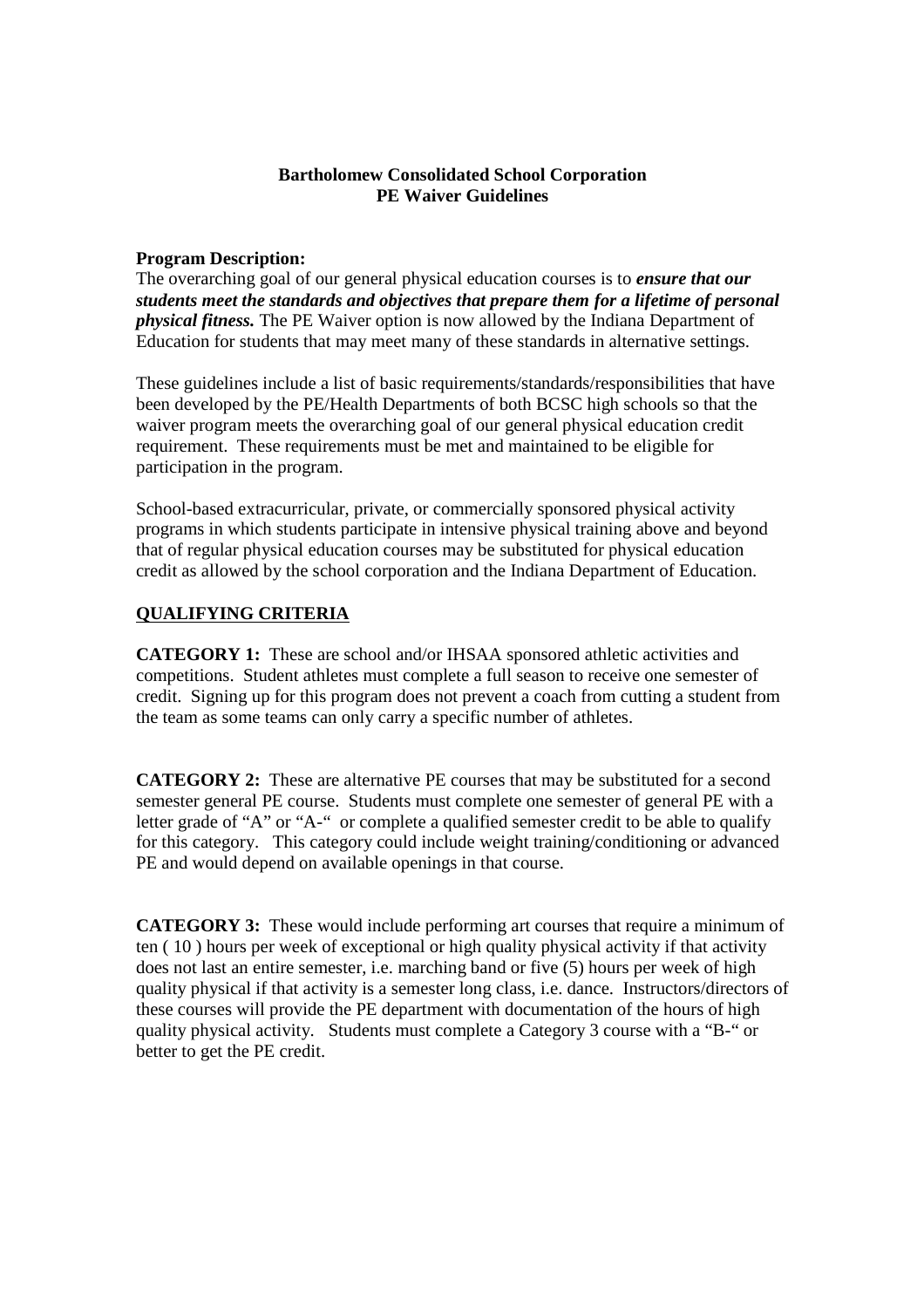#### **Bartholomew Consolidated School Corporation PE Waiver Guidelines**

### **Program Description:**

The overarching goal of our general physical education courses is to *ensure that our students meet the standards and objectives that prepare them for a lifetime of personal physical fitness.* The PE Waiver option is now allowed by the Indiana Department of Education for students that may meet many of these standards in alternative settings.

These guidelines include a list of basic requirements/standards/responsibilities that have been developed by the PE/Health Departments of both BCSC high schools so that the waiver program meets the overarching goal of our general physical education credit requirement. These requirements must be met and maintained to be eligible for participation in the program.

School-based extracurricular, private, or commercially sponsored physical activity programs in which students participate in intensive physical training above and beyond that of regular physical education courses may be substituted for physical education credit as allowed by the school corporation and the Indiana Department of Education.

## **QUALIFYING CRITERIA**

**CATEGORY 1:** These are school and/or IHSAA sponsored athletic activities and competitions. Student athletes must complete a full season to receive one semester of credit. Signing up for this program does not prevent a coach from cutting a student from the team as some teams can only carry a specific number of athletes.

**CATEGORY 2:** These are alternative PE courses that may be substituted for a second semester general PE course. Students must complete one semester of general PE with a letter grade of "A" or "A-" or complete a qualified semester credit to be able to qualify for this category. This category could include weight training/conditioning or advanced PE and would depend on available openings in that course.

**CATEGORY 3:** These would include performing art courses that require a minimum of ten ( 10 ) hours per week of exceptional or high quality physical activity if that activity does not last an entire semester, i.e. marching band or five (5) hours per week of high quality physical if that activity is a semester long class, i.e. dance. Instructors/directors of these courses will provide the PE department with documentation of the hours of high quality physical activity. Students must complete a Category 3 course with a "B-" or better to get the PE credit.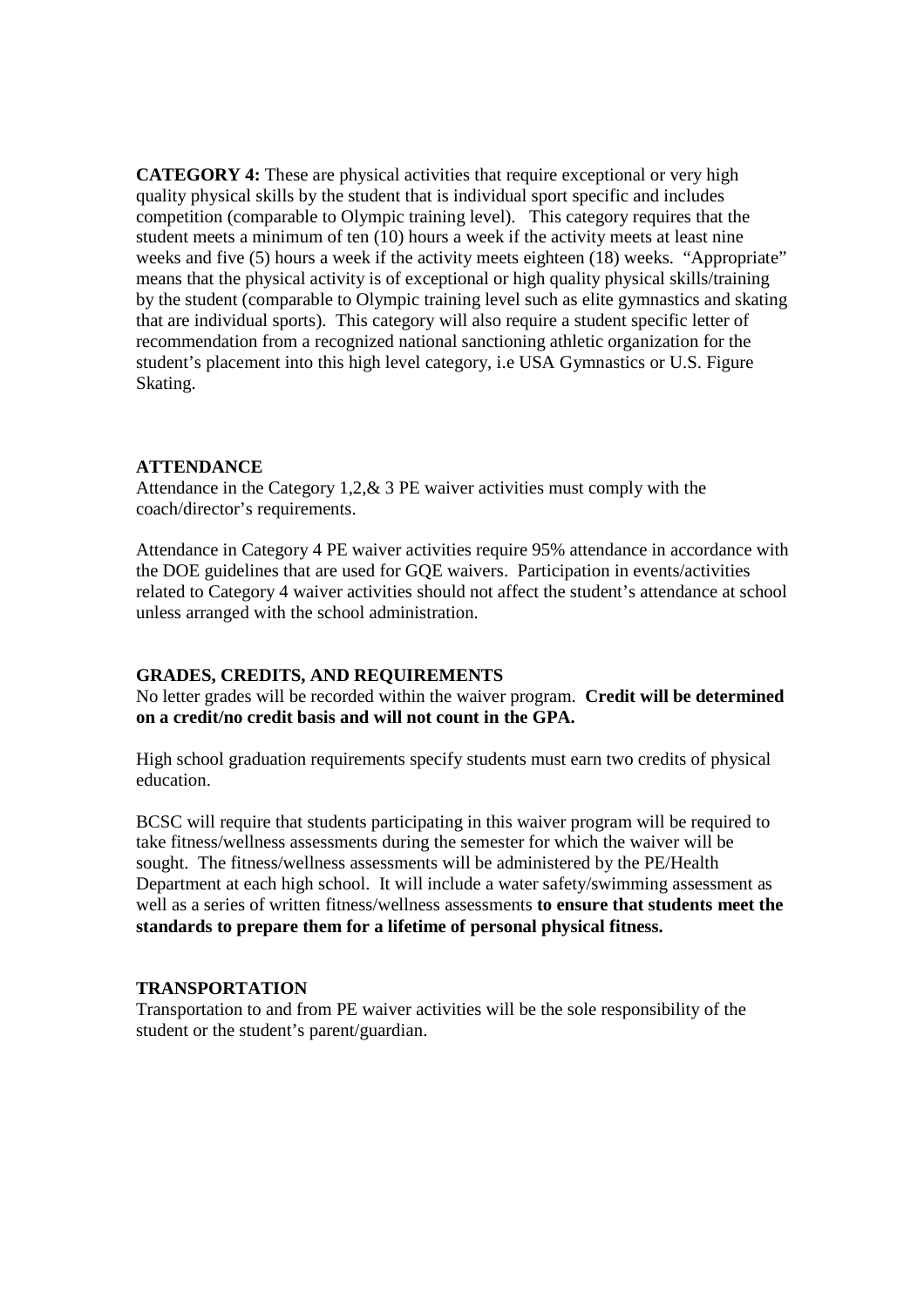**CATEGORY 4:** These are physical activities that require exceptional or very high quality physical skills by the student that is individual sport specific and includes competition (comparable to Olympic training level). This category requires that the student meets a minimum of ten (10) hours a week if the activity meets at least nine weeks and five (5) hours a week if the activity meets eighteen (18) weeks. "Appropriate" means that the physical activity is of exceptional or high quality physical skills/training by the student (comparable to Olympic training level such as elite gymnastics and skating that are individual sports). This category will also require a student specific letter of recommendation from a recognized national sanctioning athletic organization for the student's placement into this high level category, i.e USA Gymnastics or U.S. Figure Skating.

## **ATTENDANCE**

Attendance in the Category 1,2,& 3 PE waiver activities must comply with the coach/director's requirements.

Attendance in Category 4 PE waiver activities require 95% attendance in accordance with the DOE guidelines that are used for GQE waivers. Participation in events/activities related to Category 4 waiver activities should not affect the student's attendance at school unless arranged with the school administration.

#### **GRADES, CREDITS, AND REQUIREMENTS**

No letter grades will be recorded within the waiver program. **Credit will be determined on a credit/no credit basis and will not count in the GPA.** 

High school graduation requirements specify students must earn two credits of physical education.

BCSC will require that students participating in this waiver program will be required to take fitness/wellness assessments during the semester for which the waiver will be sought. The fitness/wellness assessments will be administered by the PE/Health Department at each high school. It will include a water safety/swimming assessment as well as a series of written fitness/wellness assessments **to ensure that students meet the standards to prepare them for a lifetime of personal physical fitness.** 

#### **TRANSPORTATION**

Transportation to and from PE waiver activities will be the sole responsibility of the student or the student's parent/guardian.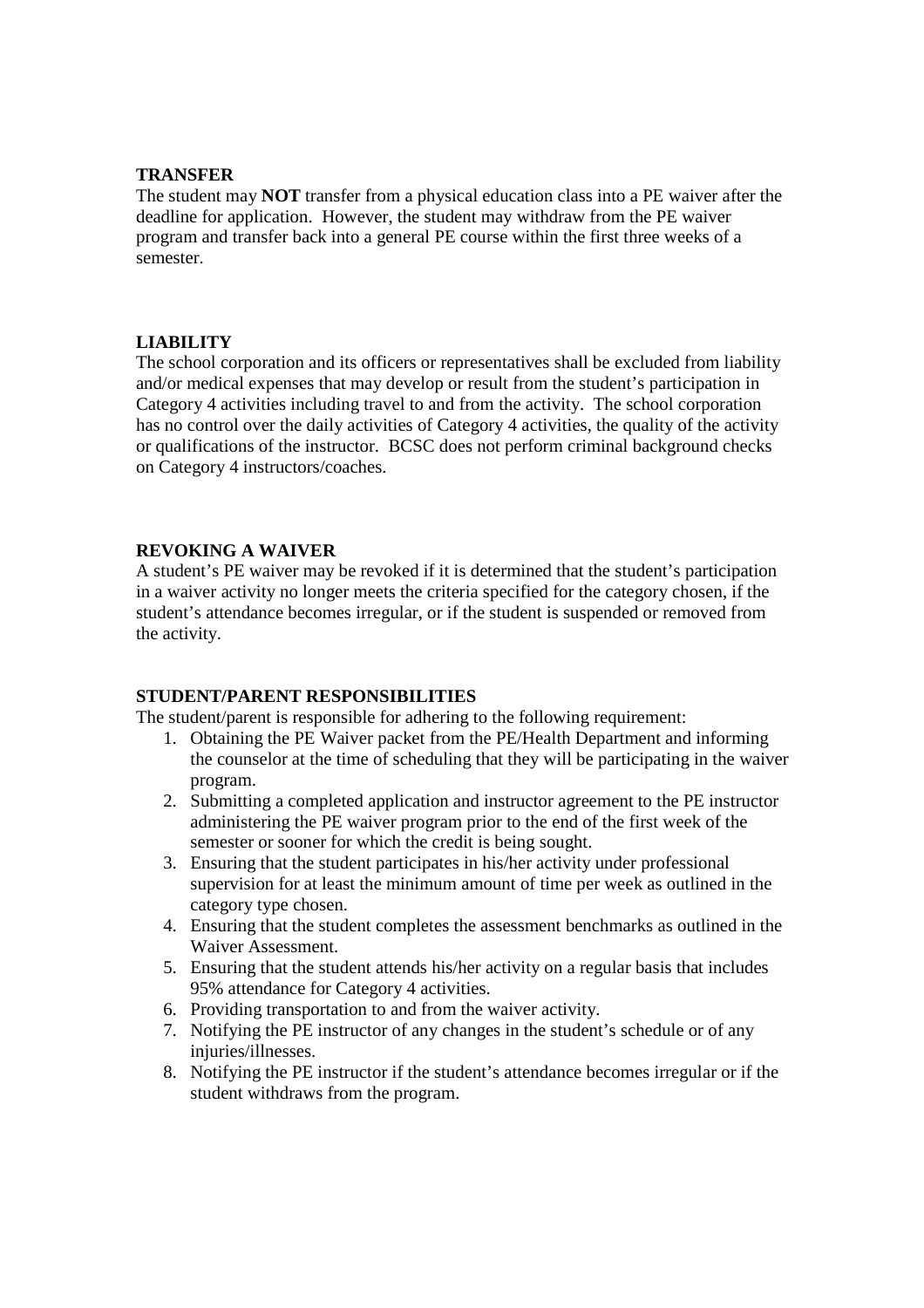#### **TRANSFER**

The student may **NOT** transfer from a physical education class into a PE waiver after the deadline for application. However, the student may withdraw from the PE waiver program and transfer back into a general PE course within the first three weeks of a semester.

## **LIABILITY**

The school corporation and its officers or representatives shall be excluded from liability and/or medical expenses that may develop or result from the student's participation in Category 4 activities including travel to and from the activity. The school corporation has no control over the daily activities of Category 4 activities, the quality of the activity or qualifications of the instructor. BCSC does not perform criminal background checks on Category 4 instructors/coaches.

## **REVOKING A WAIVER**

A student's PE waiver may be revoked if it is determined that the student's participation in a waiver activity no longer meets the criteria specified for the category chosen, if the student's attendance becomes irregular, or if the student is suspended or removed from the activity.

#### **STUDENT/PARENT RESPONSIBILITIES**

The student/parent is responsible for adhering to the following requirement:

- 1. Obtaining the PE Waiver packet from the PE/Health Department and informing the counselor at the time of scheduling that they will be participating in the waiver program.
- 2. Submitting a completed application and instructor agreement to the PE instructor administering the PE waiver program prior to the end of the first week of the semester or sooner for which the credit is being sought.
- 3. Ensuring that the student participates in his/her activity under professional supervision for at least the minimum amount of time per week as outlined in the category type chosen.
- 4. Ensuring that the student completes the assessment benchmarks as outlined in the Waiver Assessment.
- 5. Ensuring that the student attends his/her activity on a regular basis that includes 95% attendance for Category 4 activities.
- 6. Providing transportation to and from the waiver activity.
- 7. Notifying the PE instructor of any changes in the student's schedule or of any injuries/illnesses.
- 8. Notifying the PE instructor if the student's attendance becomes irregular or if the student withdraws from the program.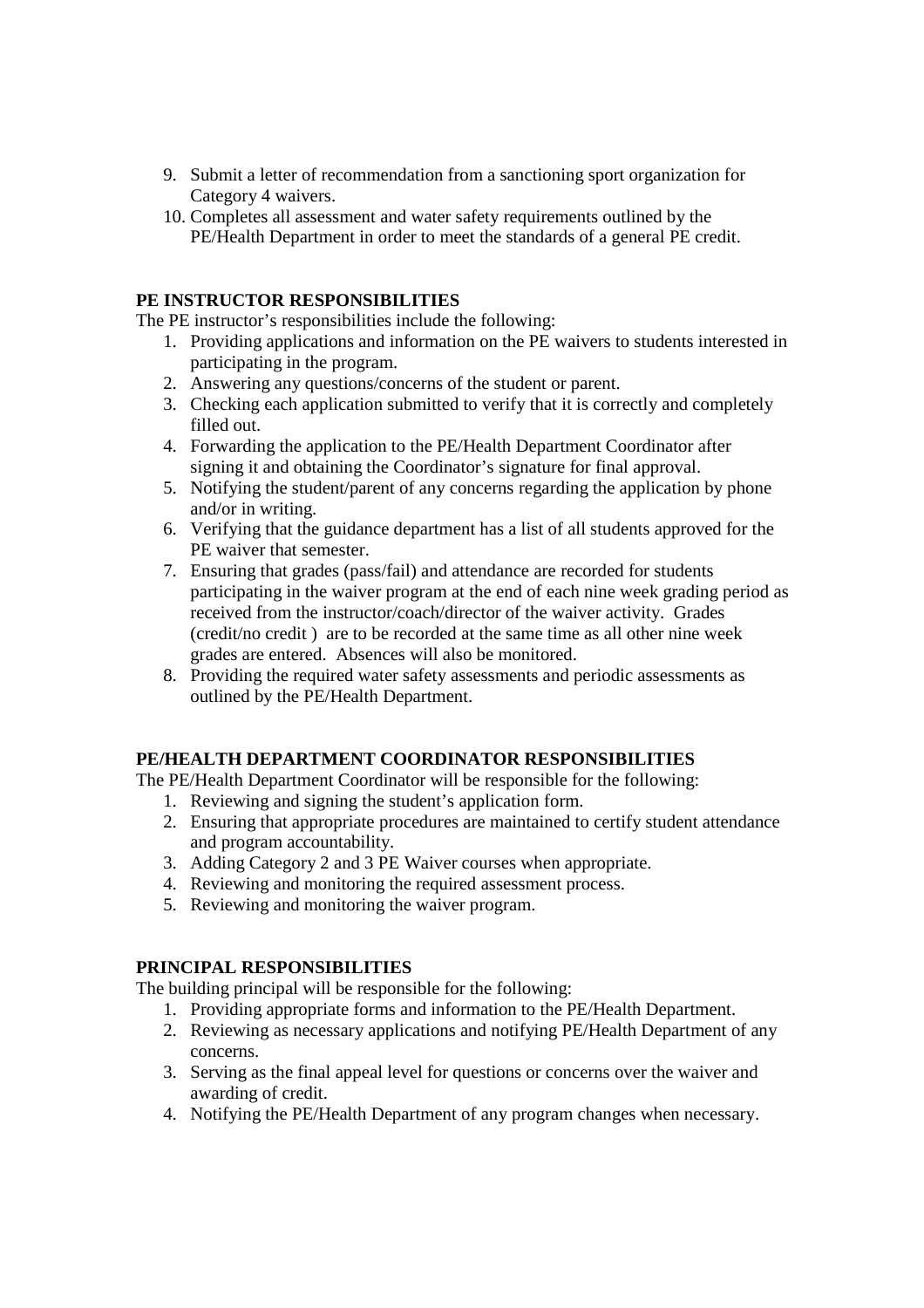- 9. Submit a letter of recommendation from a sanctioning sport organization for Category 4 waivers.
- 10. Completes all assessment and water safety requirements outlined by the PE/Health Department in order to meet the standards of a general PE credit.

# **PE INSTRUCTOR RESPONSIBILITIES**

The PE instructor's responsibilities include the following:

- 1. Providing applications and information on the PE waivers to students interested in participating in the program.
- 2. Answering any questions/concerns of the student or parent.
- 3. Checking each application submitted to verify that it is correctly and completely filled out.
- 4. Forwarding the application to the PE/Health Department Coordinator after signing it and obtaining the Coordinator's signature for final approval.
- 5. Notifying the student/parent of any concerns regarding the application by phone and/or in writing.
- 6. Verifying that the guidance department has a list of all students approved for the PE waiver that semester.
- 7. Ensuring that grades (pass/fail) and attendance are recorded for students participating in the waiver program at the end of each nine week grading period as received from the instructor/coach/director of the waiver activity. Grades (credit/no credit ) are to be recorded at the same time as all other nine week grades are entered. Absences will also be monitored.
- 8. Providing the required water safety assessments and periodic assessments as outlined by the PE/Health Department.

# **PE/HEALTH DEPARTMENT COORDINATOR RESPONSIBILITIES**

The PE/Health Department Coordinator will be responsible for the following:

- 1. Reviewing and signing the student's application form.
- 2. Ensuring that appropriate procedures are maintained to certify student attendance and program accountability.
- 3. Adding Category 2 and 3 PE Waiver courses when appropriate.
- 4. Reviewing and monitoring the required assessment process.
- 5. Reviewing and monitoring the waiver program.

# **PRINCIPAL RESPONSIBILITIES**

The building principal will be responsible for the following:

- 1. Providing appropriate forms and information to the PE/Health Department.
- 2. Reviewing as necessary applications and notifying PE/Health Department of any concerns.
- 3. Serving as the final appeal level for questions or concerns over the waiver and awarding of credit.
- 4. Notifying the PE/Health Department of any program changes when necessary.